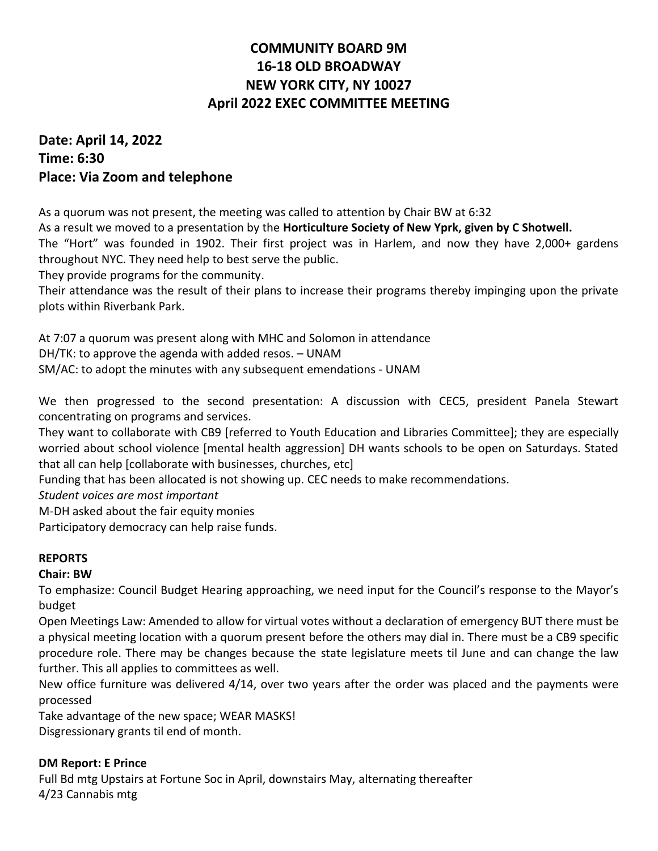# **COMMUNITY BOARD 9M 16-18 OLD BROADWAY NEW YORK CITY, NY 10027 April 2022 EXEC COMMITTEE MEETING**

# **Date: April 14, 2022 Time: 6:30 Place: Via Zoom and telephone**

As a quorum was not present, the meeting was called to attention by Chair BW at 6:32

As a result we moved to a presentation by the **Horticulture Society of New Yprk, given by C Shotwell.**

The "Hort" was founded in 1902. Their first project was in Harlem, and now they have 2,000+ gardens throughout NYC. They need help to best serve the public.

They provide programs for the community.

Their attendance was the result of their plans to increase their programs thereby impinging upon the private plots within Riverbank Park.

At 7:07 a quorum was present along with MHC and Solomon in attendance

DH/TK: to approve the agenda with added resos. – UNAM

SM/AC: to adopt the minutes with any subsequent emendations - UNAM

We then progressed to the second presentation: A discussion with CEC5, president Panela Stewart concentrating on programs and services.

They want to collaborate with CB9 [referred to Youth Education and Libraries Committee]; they are especially worried about school violence [mental health aggression] DH wants schools to be open on Saturdays. Stated that all can help [collaborate with businesses, churches, etc]

Funding that has been allocated is not showing up. CEC needs to make recommendations.

*Student voices are most important*

M-DH asked about the fair equity monies

Participatory democracy can help raise funds.

#### **REPORTS**

#### **Chair: BW**

To emphasize: Council Budget Hearing approaching, we need input for the Council's response to the Mayor's budget

Open Meetings Law: Amended to allow for virtual votes without a declaration of emergency BUT there must be a physical meeting location with a quorum present before the others may dial in. There must be a CB9 specific procedure role. There may be changes because the state legislature meets til June and can change the law further. This all applies to committees as well.

New office furniture was delivered 4/14, over two years after the order was placed and the payments were processed

Take advantage of the new space; WEAR MASKS!

Disgressionary grants til end of month.

#### **DM Report: E Prince**

Full Bd mtg Upstairs at Fortune Soc in April, downstairs May, alternating thereafter 4/23 Cannabis mtg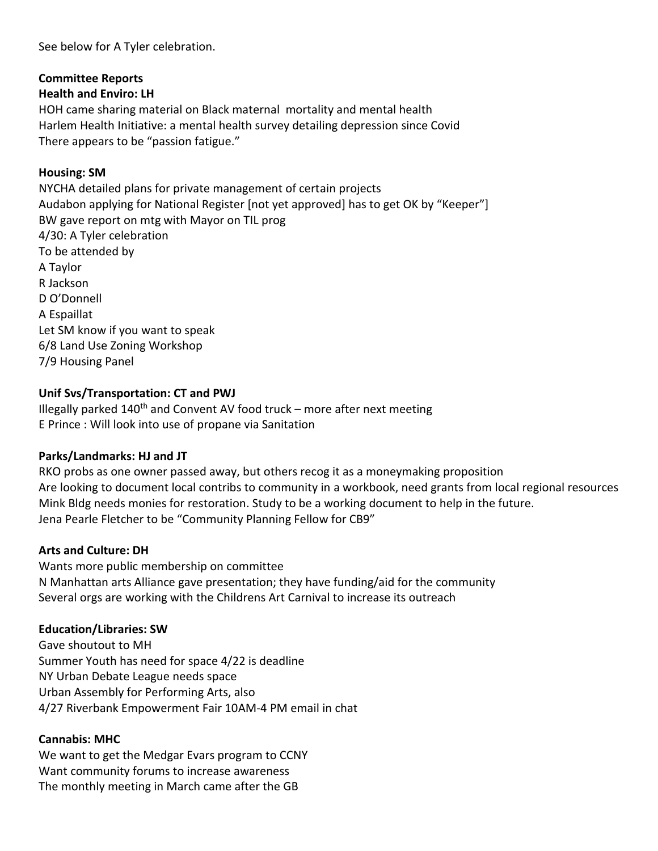See below for A Tyler celebration.

#### **Committee Reports**

#### **Health and Enviro: LH**

HOH came sharing material on Black maternal mortality and mental health Harlem Health Initiative: a mental health survey detailing depression since Covid There appears to be "passion fatigue."

#### **Housing: SM**

NYCHA detailed plans for private management of certain projects Audabon applying for National Register [not yet approved] has to get OK by "Keeper"] BW gave report on mtg with Mayor on TIL prog 4/30: A Tyler celebration To be attended by A Taylor R Jackson D O'Donnell A Espaillat Let SM know if you want to speak 6/8 Land Use Zoning Workshop 7/9 Housing Panel

#### **Unif Svs/Transportation: CT and PWJ**

Illegally parked  $140<sup>th</sup>$  and Convent AV food truck – more after next meeting E Prince : Will look into use of propane via Sanitation

#### **Parks/Landmarks: HJ and JT**

RKO probs as one owner passed away, but others recog it as a moneymaking proposition Are looking to document local contribs to community in a workbook, need grants from local regional resources Mink Bldg needs monies for restoration. Study to be a working document to help in the future. Jena Pearle Fletcher to be "Community Planning Fellow for CB9"

#### **Arts and Culture: DH**

Wants more public membership on committee N Manhattan arts Alliance gave presentation; they have funding/aid for the community Several orgs are working with the Childrens Art Carnival to increase its outreach

#### **Education/Libraries: SW**

Gave shoutout to MH Summer Youth has need for space 4/22 is deadline NY Urban Debate League needs space Urban Assembly for Performing Arts, also 4/27 Riverbank Empowerment Fair 10AM-4 PM email in chat

#### **Cannabis: MHC**

We want to get the Medgar Evars program to CCNY Want community forums to increase awareness The monthly meeting in March came after the GB